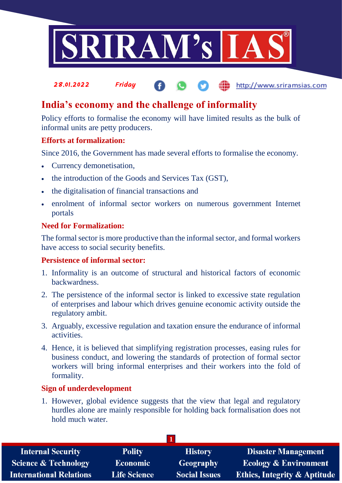

### 28.01.2022 Friday http://www.sriramsias.com

# **India's economy and the challenge of informality**

Policy efforts to formalise the economy will have limited results as the bulk of informal units are petty producers.

### **Efforts at formalization:**

Since 2016, the Government has made several efforts to formalise the economy.

- Currency demonetisation,
- the introduction of the Goods and Services Tax (GST).
- the digitalisation of financial transactions and
- enrolment of informal sector workers on numerous government Internet portals

### **Need for Formalization:**

The formal sector is more productive than the informal sector, and formal workers have access to social security benefits.

### **Persistence of informal sector:**

- 1. Informality is an outcome of structural and historical factors of economic backwardness.
- 2. The persistence of the informal sector is linked to excessive state regulation of enterprises and labour which drives genuine economic activity outside the regulatory ambit.
- 3. Arguably, excessive regulation and taxation ensure the endurance of informal activities.
- 4. Hence, it is believed that simplifying registration processes, easing rules for business conduct, and lowering the standards of protection of formal sector workers will bring informal enterprises and their workers into the fold of formality.

### **Sign of underdevelopment**

1. However, global evidence suggests that the view that legal and regulatory hurdles alone are mainly responsible for holding back formalisation does not hold much water.

| <b>Polity</b>       | <b>History</b>       | <b>Disaster Management</b>              |
|---------------------|----------------------|-----------------------------------------|
| <b>Economic</b>     | Geography            | <b>Ecology &amp; Environment</b>        |
| <b>Life Science</b> | <b>Social Issues</b> | <b>Ethics, Integrity &amp; Aptitude</b> |
|                     |                      |                                         |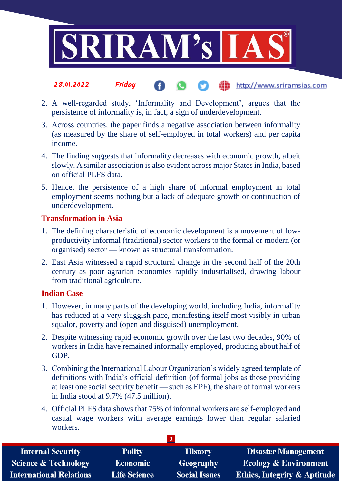

#### the http://www.sriramsias.com 28.01.2022 Friday

- 2. A well-regarded study, 'Informality and Development', argues that the persistence of informality is, in fact, a sign of underdevelopment.
- 3. Across countries, the paper finds a negative association between informality (as measured by the share of self-employed in total workers) and per capita income.
- 4. The finding suggests that informality decreases with economic growth, albeit slowly. A similar association is also evident across major States in India, based on official PLFS data.
- 5. Hence, the persistence of a high share of informal employment in total employment seems nothing but a lack of adequate growth or continuation of underdevelopment.

### **Transformation in Asia**

- 1. The defining characteristic of economic development is a movement of lowproductivity informal (traditional) sector workers to the formal or modern (or organised) sector — known as structural transformation.
- 2. East Asia witnessed a rapid structural change in the second half of the 20th century as poor agrarian economies rapidly industrialised, drawing labour from traditional agriculture.

### **Indian Case**

- 1. However, in many parts of the developing world, including India, informality has reduced at a very sluggish pace, manifesting itself most visibly in urban squalor, poverty and (open and disguised) unemployment.
- 2. Despite witnessing rapid economic growth over the last two decades, 90% of workers in India have remained informally employed, producing about half of GDP.
- 3. Combining the International Labour Organization's widely agreed template of definitions with India's official definition (of formal jobs as those providing at least one social security benefit — such as EPF), the share of formal workers in India stood at 9.7% (47.5 million).
- 4. Official PLFS data shows that 75% of informal workers are self-employed and casual wage workers with average earnings lower than regular salaried workers.

| <b>Internal Security</b>        | <b>Polity</b>       | <b>History</b>       | <b>Disaster Management</b>              |  |
|---------------------------------|---------------------|----------------------|-----------------------------------------|--|
| <b>Science &amp; Technology</b> | <b>Economic</b>     | <b>Geography</b>     | <b>Ecology &amp; Environment</b>        |  |
| <b>International Relations</b>  | <b>Life Science</b> | <b>Social Issues</b> | <b>Ethics, Integrity &amp; Aptitude</b> |  |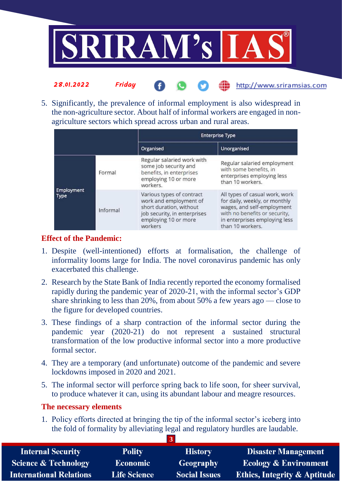

5. Significantly, the prevalence of informal employment is also widespread in the non-agriculture sector. About half of informal workers are engaged in nonagriculture sectors which spread across urban and rural areas.

the http://www.sriramsias.com

|                                  |          | <b>Enterprise Type</b>                                                                                                                            |                                                                                                                                                                                     |
|----------------------------------|----------|---------------------------------------------------------------------------------------------------------------------------------------------------|-------------------------------------------------------------------------------------------------------------------------------------------------------------------------------------|
|                                  |          | Organised                                                                                                                                         | Unorganised                                                                                                                                                                         |
| <b>Employment</b><br><b>Type</b> | Formal   | Regular salaried work with<br>some job security and<br>benefits, in enterprises<br>employing 10 or more<br>workers.                               | Regular salaried employment<br>with some benefits, in<br>enterprises employing less<br>than 10 workers.                                                                             |
|                                  | Informal | Various types of contract<br>work and employment of<br>short duration, without<br>job security, in enterprises<br>employing 10 or more<br>workers | All types of casual work, work<br>for daily, weekly, or monthly<br>wages, and self-employment<br>with no benefits or security,<br>in enterprises employing less<br>than 10 workers. |

## **Effect of the Pandemic:**

28.01.2022 Friday

- 1. Despite (well-intentioned) efforts at formalisation, the challenge of informality looms large for India. The novel coronavirus pandemic has only exacerbated this challenge.
- 2. Research by the State Bank of India recently reported the economy formalised rapidly during the pandemic year of 2020-21, with the informal sector's GDP share shrinking to less than 20%, from about 50% a few years ago — close to the figure for developed countries.
- 3. These findings of a sharp contraction of the informal sector during the pandemic year (2020-21) do not represent a sustained structural transformation of the low productive informal sector into a more productive formal sector.
- 4. They are a temporary (and unfortunate) outcome of the pandemic and severe lockdowns imposed in 2020 and 2021.
- 5. The informal sector will perforce spring back to life soon, for sheer survival, to produce whatever it can, using its abundant labour and meagre resources.

### **The necessary elements**

1. Policy efforts directed at bringing the tip of the informal sector's iceberg into the fold of formality by alleviating legal and regulatory hurdles are laudable.

**3**

| <b>Internal Security</b>        | <b>Polity</b>       | <b>History</b>       | <b>Disaster Management</b>              |
|---------------------------------|---------------------|----------------------|-----------------------------------------|
| <b>Science &amp; Technology</b> | <b>Economic</b>     | Geography            | <b>Ecology &amp; Environment</b>        |
| <b>International Relations</b>  | <b>Life Science</b> | <b>Social Issues</b> | <b>Ethics, Integrity &amp; Aptitude</b> |